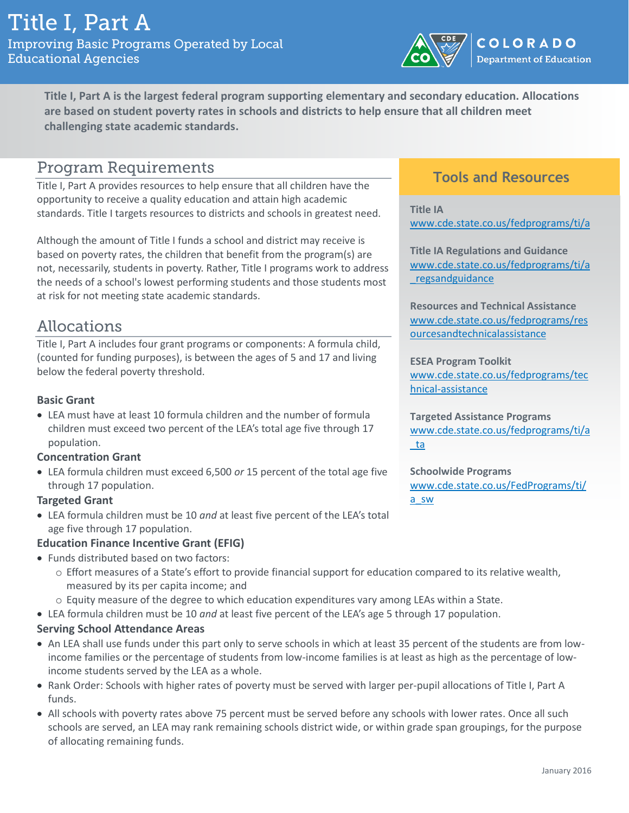

**Title I, Part A is the largest federal program supporting elementary and secondary education. Allocations are based on student poverty rates in schools and districts to help ensure that all children meet challenging state academic standards.**

### **Program Requirements**

Title I, Part A provides resources to help ensure that all children have the opportunity to receive a quality education and attain high academic standards. Title I targets resources to districts and schools in greatest need.

Although the amount of Title I funds a school and district may receive is based on poverty rates, the children that benefit from the program(s) are not, necessarily, students in poverty. Rather, Title I programs work to address the needs of a school's lowest performing students and those students most at risk for not meeting state academic standards.

## Allocations

Title I, Part A includes four grant programs or components: A formula child, (counted for funding purposes), is between the ages of 5 and 17 and living below the federal poverty threshold.

### **Basic Grant**

 LEA must have at least 10 formula children and the number of formula children must exceed two percent of the LEA's total age five through 17 population.

#### **Concentration Grant**

 LEA formula children must exceed 6,500 *or* 15 percent of the total age five through 17 population.

#### **Targeted Grant**

 LEA formula children must be 10 *and* at least five percent of the LEA's total age five through 17 population.

### **Education Finance Incentive Grant (EFIG)**

- Funds distributed based on two factors:
	- o Effort measures of a State's effort to provide financial support for education compared to its relative wealth, measured by its per capita income; and
	- o Equity measure of the degree to which education expenditures vary among LEAs within a State.
- LEA formula children must be 10 *and* at least five percent of the LEA's age 5 through 17 population.

### **Serving School Attendance Areas**

- An LEA shall use funds under this part only to serve schools in which at least 35 percent of the students are from lowincome families or the percentage of students from low-income families is at least as high as the percentage of lowincome students served by the LEA as a whole.
- Rank Order: Schools with higher rates of poverty must be served with larger per-pupil allocations of Title I, Part A funds.
- All schools with poverty rates above 75 percent must be served before any schools with lower rates. Once all such schools are served, an LEA may rank remaining schools district wide, or within grade span groupings, for the purpose of allocating remaining funds.

### **Tools and Resources**

**Title IA** [www.cde.state.co.us/fedprograms/ti/a](http://www.cde.state.co.us/fedprograms/ti/a)

**Title IA Regulations and Guidance** [www.cde.state.co.us/fedprograms/ti/a](http://www.cde.state.co.us/fedprograms/ti/a_regsandguidance) [\\_regsandguidance](http://www.cde.state.co.us/fedprograms/ti/a_regsandguidance)

**Resources and Technical Assistance** [www.cde.state.co.us/fedprograms/res](http://www.cde.state.co.us/fedprograms/resourcesandtechnicalassistance) [ourcesandtechnicalassistance](http://www.cde.state.co.us/fedprograms/resourcesandtechnicalassistance)

**ESEA Program Toolkit** [www.cde.state.co.us/fedprograms/tec](http://www.cde.state.co.us/fedprograms/technical-assistance) [hnical-assistance](http://www.cde.state.co.us/fedprograms/technical-assistance)

**Targeted Assistance Programs** [www.cde.state.co.us/fedprograms/ti/a](http://www.cde.state.co.us/fedprograms/ti/a_ta) [\\_ta](http://www.cde.state.co.us/fedprograms/ti/a_ta)

**Schoolwide Programs** [www.cde.state.co.us/FedPrograms/ti/](http://www.cde.state.co.us/FedPrograms/ti/a_sw) [a\\_sw](http://www.cde.state.co.us/FedPrograms/ti/a_sw)